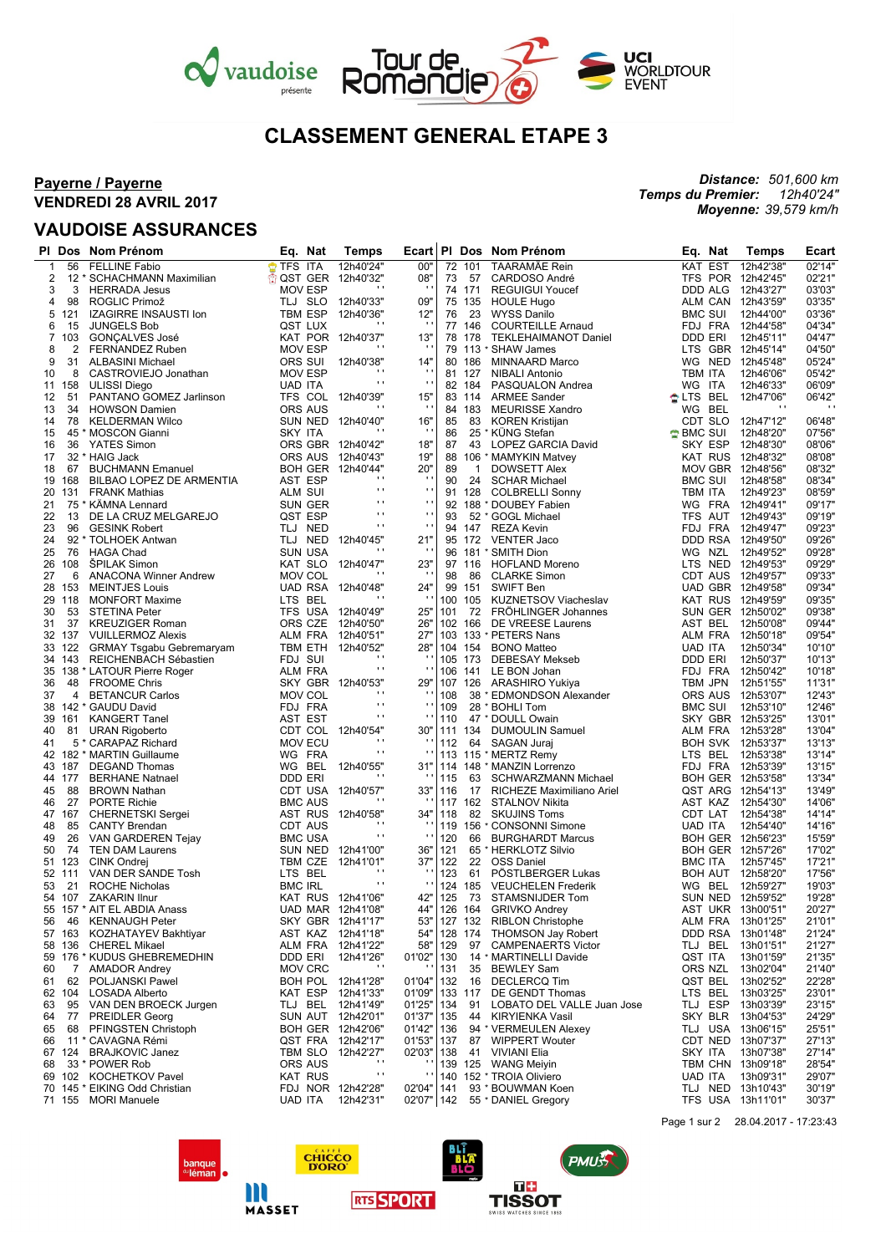

# **CLASSEMENT GENERAL ETAPE 3**

## **Payerne / Payerne VENDREDI 28 AVRIL 2017**

## **VAUDOISE ASSURANCES**

#### *Distance: 501,600 km Temps du Premier: 12h40'24" Moyenne: 39,579 km/h*

|                |                  | PI Dos Nom Prénom                                  | Eq. Nat            | <b>Temps</b>                           |                     |            |         |              | Ecart PI Dos Nom Prénom                                |                    | Eq. Nat                          | <b>Temps</b>                           | Ecart            |
|----------------|------------------|----------------------------------------------------|--------------------|----------------------------------------|---------------------|------------|---------|--------------|--------------------------------------------------------|--------------------|----------------------------------|----------------------------------------|------------------|
| $\mathbf{1}$   | 56               | <b>FELLINE Fabio</b>                               | TFS ITA            | 12h40'24"                              | 00"                 |            | 72 101  |              | TAARAMÄE Rein                                          |                    | KAT EST                          | 12h42'38"                              | 02'14"           |
| 2              |                  | 12 * SCHACHMANN Maximilian                         |                    | <b>th QST GER 12h40'32"</b><br>$\cdot$ | 08"<br>$\mathbf{r}$ | 73         |         | 57           | CARDOSO André                                          |                    |                                  | TFS POR 12h42'45"                      | 02'21"           |
| 3              | 3                | <b>HERRADA Jesus</b>                               | <b>MOV ESP</b>     |                                        |                     |            | 74 171  |              | <b>REGUIGUI Youcef</b>                                 |                    | <b>DDD ALG</b>                   | 12h43'27"                              | 03'03"           |
| 4              | 98               | ROGLIC Primož                                      | TLJ SLO            | 12h40'33"                              | 09"                 |            | 75 135  |              | <b>HOULE Hugo</b>                                      |                    | ALM CAN                          | 12h43'59"                              | 03'35"           |
| 5<br>6         | 121<br>15        | <b>IZAGIRRE INSAUSTI Ion</b><br><b>JUNGELS Bob</b> | TBM ESP<br>QST LUX | 12h40'36"<br>.,                        | 12"                 | 76         | 77 146  | -23          | <b>WYSS Danilo</b><br><b>COURTEILLE Arnaud</b>         |                    | <b>BMC SUI</b><br>FDJ FRA        | 12h44'00"<br>12h44'58"                 | 03'36'<br>04'34" |
| $\overline{7}$ | 103              | <b>GONÇALVES José</b>                              |                    | KAT POR 12h40'37"                      | 13"                 |            | 78 178  |              | TEKLEHAIMANOT Daniel                                   |                    | DDD ERI                          | 12h45'11"                              | 04'47'           |
| 8              | 2                | FERNANDEZ Ruben                                    | <b>MOV ESP</b>     | $\cdot$                                | $\cdot$             |            |         |              | 79 113 * SHAW James                                    |                    |                                  | LTS GBR 12h45'14"                      | 04'50"           |
| 9              | 31               | <b>ALBASINI Michael</b>                            | ORS SUI            | 12h40'38"                              | 14"                 |            | 80 186  |              | MINNAARD Marco                                         |                    | WG NED                           | 12h45'48"                              | 05'24"           |
| 10             | 8                | CASTROVIEJO Jonathan                               | <b>MOV ESP</b>     | $\cdots$                               | $\cdot$             |            | 81 127  |              | <b>NIBALI Antonio</b>                                  | TBM ITA            |                                  | 12h46'06"                              | 05'42"           |
| 11             | 158              | <b>ULISSI Diego</b>                                | <b>UAD ITA</b>     | $\mathbf{r}$                           | $\cdot$ .           |            | 82 184  |              | PASQUALON Andrea                                       | WG ITA             |                                  | 12h46'33"                              | 06'09"           |
| 12             | 51               | PANTANO GOMEZ Jarlinson                            |                    | TFS COL 12h40'39"                      | 15"                 |            | 83 114  |              | <b>ARMEE Sander</b>                                    | <b>ALTS BEL</b>    |                                  | 12h47'06"                              | 06'42"           |
| 13             | 34               | <b>HOWSON Damien</b>                               | <b>ORS AUS</b>     | $\cdots$                               | $\cdot$             |            | 84 183  |              | <b>MEURISSE Xandro</b>                                 |                    | WG BEL                           | $\overline{\phantom{a}}$               | $\cdots$         |
| 14             | 78               | <b>KELDERMAN Wilco</b>                             |                    | SUN NED 12h40'40"<br>$\blacksquare$    | 16"<br>$\cdot$      | 85         |         | 83           | <b>KOREN Kristijan</b>                                 |                    | CDT SLO                          | 12h47'12"                              | 06'48"           |
| 15             |                  | 45 * MOSCON Gianni                                 | SKY ITA            |                                        |                     | 86         |         |              | 25 * KÜNG Stefan                                       | $\bigcirc$ BMC SUI |                                  | 12h48'20"                              | 07'56"           |
| 16             | 36               | YATES Simon<br>32 * HAIG Jack                      |                    | ORS GBR 12h40'42"<br>ORS AUS 12h40'43" | 18"<br>19"          | 87<br>88   |         |              | 43 LOPEZ GARCIA David                                  |                    | SKY ESP<br>KAT RUS               | 12h48'30"<br>12h48'32"                 | 08'06"<br>08'08' |
| 17<br>18       | 67               | <b>BUCHMANN Emanuel</b>                            |                    | BOH GER 12h40'44"                      | 20"                 | 89         |         | $\mathbf{1}$ | 106 * MAMYKIN Matvey<br><b>DOWSETT Alex</b>            |                    | MOV GBR                          | 12h48'56"                              | 08'32"           |
|                | 19 168           | BILBAO LOPEZ DE ARMENTIA                           | AST ESP            | $\cdot$                                | $\cdot$             | 90         |         | 24           | <b>SCHAR Michael</b>                                   |                    | <b>BMC SUI</b>                   | 12h48'58"                              | 08'34"           |
| 20             | 131              | <b>FRANK Mathias</b>                               | ALM SUI            | $\blacksquare$                         | $\mathbf{r}$ .      |            | 91 128  |              | <b>COLBRELLI Sonny</b>                                 |                    | TBM ITA                          | 12h49'23"                              | 08'59'           |
| 21             |                  | 75 * KÄMNA Lennard                                 | <b>SUN GER</b>     | .,                                     | $\blacksquare$      |            |         |              | 92 188 * DOUBEY Fabien                                 |                    | WG FRA                           | 12h49'41"                              | 09'17"           |
| 22             | 13               | DE LA CRUZ MELGAREJO                               | QST ESP            | $\mathbf{r}$ .                         | $\mathbf{r}$ .      | 93         |         |              | 52 * GOGL Michael                                      |                    | TFS AUT                          | 12h49'43"                              | 09'19"           |
| 23             | 96               | <b>GESINK Robert</b>                               | TLJ NED            | $\mathbf{r}$                           | $\mathbf{r}$ .      |            |         |              | 94 147 REZA Kevin                                      |                    |                                  | FDJ FRA 12h49'47"                      | 09'23"           |
| 24             |                  | 92 * TOLHOEK Antwan                                |                    | TLJ NED 12h40'45"                      | 21"                 |            |         |              | 95 172 VENTER Jaco                                     |                    |                                  | DDD RSA 12h49'50"                      | 09'26"           |
| 25             | 76               | <b>HAGA Chad</b>                                   | <b>SUN USA</b>     | $\cdots$                               | $\cdot$             |            |         |              | 96 181 * SMITH Dion                                    |                    | WG NZL                           | 12h49'52"                              | 09'28"           |
| 26             | 108              | <b>SPILAK Simon</b>                                | KAT SLO            | 12h40'47"<br>$\blacksquare$            | 23"                 |            |         |              | 97 116 HOFLAND Moreno                                  |                    | LTS NED                          | 12h49'53"                              | 09'29"           |
| 27             | 6                | <b>ANACONA Winner Andrew</b>                       | <b>MOV COL</b>     |                                        |                     | 98         |         | 86           | <b>CLARKE Simon</b>                                    |                    |                                  | CDT AUS 12h49'57"                      | 09'33"           |
|                | 28 153           | <b>MEINTJES Louis</b>                              |                    | UAD RSA 12h40'48"<br>$\cdot$           | 24"<br>л.           |            | 99 151  |              | SWIFT Ben                                              |                    |                                  | UAD GBR 12h49'58"                      | 09'34"           |
| 29<br>30       | 118<br>53        | <b>MONFORT Maxime</b><br><b>STETINA Peter</b>      | LTS BEL<br>TFS USA | 12h40'49"                              | 25"                 | 101        |         |              | 100 105 KUZNETSOV Viacheslav<br>72 FRÖHLINGER Johannes |                    |                                  | KAT RUS 12h49'59"<br>SUN GER 12h50'02" | 09'35'<br>09'38" |
| 31             | 37               | <b>KREUZIGER Roman</b>                             | ORS CZE            | 12h40'50"                              | 26"                 |            | 102 166 |              | DE VREESE Laurens                                      |                    | AST BEL                          | 12h50'08"                              | 09'44'           |
|                | 32 137           | <b>VUILLERMOZ Alexis</b>                           | ALM FRA            | 12h40'51"                              | 27'                 |            |         |              | 103 133 * PETERS Nans                                  |                    |                                  | ALM FRA 12h50'18"                      | 09'54"           |
|                | 33 122           | <b>GRMAY Tsgabu Gebremaryam</b>                    | TBM ETH            | 12h40'52"                              | 28'                 |            |         |              | 104 154 BONO Matteo                                    | <b>UAD ITA</b>     |                                  | 12h50'34"                              | 10'10"           |
|                | 34 143           | REICHENBACH Sébastien                              | FDJ SUI            | $\cdots$                               | ٠                   |            |         |              | 105 173 DEBESAY Mekseb                                 |                    | DDD ERI                          | 12h50'37"                              | 10'13"           |
| 35             |                  | 138 * LATOUR Pierre Roger                          | ALM FRA            | $\mathbf{r}$                           | л.                  |            |         |              | 106 141 LE BON Johan                                   |                    | FDJ FRA                          | 12h50'42"                              | 10'18'           |
| 36             | 48               | <b>FROOME Chris</b>                                |                    | SKY GBR 12h40'53"                      | 29"                 |            |         |              | 107 126 ARASHIRO Yukiya                                |                    | TBM JPN                          | 12h51'55"                              | 11'31'           |
| 37             | 4                | <b>BETANCUR Carlos</b>                             | MOV COL            | $\cdots$                               | $\cdot$             | 108        |         |              | 38 * EDMONDSON Alexander                               |                    | ORS AUS                          | 12h53'07"                              | 12'43'           |
| 38             |                  | 142 * GAUDU David                                  | FDJ FRA            | $\mathbf{r}$<br>$\mathbf{r}$           | $\cdot$ ,           | 109        |         |              | 28 * BOHLI Tom                                         |                    | <b>BMC SUI</b>                   | 12h53'10"                              | 12'46'           |
| 39             | 161              | <b>KANGERT Tanel</b>                               | AST EST            |                                        | $\mathbf{r}$        | 110        |         |              | 47 * DOULL Owain                                       |                    |                                  | SKY GBR 12h53'25"                      | 13'01'           |
| 40<br>41       | 81               | <b>URAN Rigoberto</b><br>5 * CARAPAZ Richard       | <b>MOV ECU</b>     | CDT COL 12h40'54"<br>$\blacksquare$    | 30"<br>$\cdot$      | 112        |         |              | 111 134 DUMOULIN Samuel<br>64 SAGAN Juraj              |                    | ALM FRA                          | 12h53'28"<br>BOH SVK 12h53'37"         | 13'04"<br>13'13" |
|                |                  | 42 182 * MARTIN Guillaume                          | WG FRA             | $\mathbf{r}$                           | $\mathbf{r}$        |            |         |              | 113 115 * MERTZ Remy                                   |                    | LTS BEL                          | 12h53'38"                              | 13'14"           |
|                | 43 187           | <b>DEGAND Thomas</b>                               | WG BEL             | 12h40'55"                              | 31"                 |            |         |              | 114 148 * MANZIN Lorrenzo                              |                    | FDJ FRA                          | 12h53'39"                              | 13'15"           |
|                | 44 177           | <b>BERHANE Natnael</b>                             | DDD ERI            | $\cdot$                                |                     | 115        |         |              | 63 SCHWARZMANN Michael                                 |                    |                                  | BOH GER 12h53'58"                      | 13'34"           |
| 45             | 88               | <b>BROWN Nathan</b>                                |                    | CDT USA 12h40'57"                      | 33"                 | 116        |         |              | 17 RICHEZE Maximiliano Ariel                           |                    |                                  | QST ARG 12h54'13"                      | 13'49"           |
| 46             | 27               | PORTE Richie                                       | <b>BMC AUS</b>     | $\cdots$                               |                     |            |         |              | 117 162 STALNOV Nikita                                 |                    | AST KAZ                          | 12h54'30"                              | 14'06"           |
|                | 47 167           | <b>CHERNETSKI</b> Sergei                           |                    | AST RUS 12h40'58"                      | 34"                 | 118        |         |              | 82 SKUJINS Toms                                        |                    | CDT LAT                          | 12h54'38"                              | 14'14'           |
| 48             | 85               | <b>CANTY Brendan</b>                               | CDT AUS            | $\cdot$                                |                     |            |         |              | 119 156 * CONSONNI Simone                              | <b>UAD ITA</b>     |                                  | 12h54'40"                              | 14'16"           |
| 49             | 26               | VAN GARDEREN Tejay                                 | <b>BMC USA</b>     | $\mathbf{r}$                           | $\cdot$             | 120        |         | 66           | <b>BURGHARDT Marcus</b>                                |                    |                                  | BOH GER 12h56'23"                      | 15'59"           |
| 50             | 74               | <b>TEN DAM Laurens</b>                             |                    | SUN NED 12h41'00"                      | 36"                 | 121        |         |              | 65 * HERKLOTZ Silvio                                   |                    |                                  | BOH GER 12h57'26"                      | 17'02'           |
|                | 51 123<br>52 111 | CINK Ondrej<br>VAN DER SANDE Tosh                  | TBM CZE<br>LTS BEL | 12h41'01"<br>$\cdots$                  | 37"<br>л.           | 122<br>123 |         | 22<br>61     | <b>OSS Daniel</b><br>PÖSTLBERGER Lukas                 |                    | <b>BMC ITA</b><br><b>BOH AUT</b> | 12h57'45"<br>12h58'20"                 | 17'21'<br>17'56' |
| 53             | 21               | <b>ROCHE Nicholas</b>                              | <b>BMC IRL</b>     | $\mathbf{r}$                           | $\mathbf{r}$        | 124        |         | 185          | <b>VEUCHELEN Frederik</b>                              |                    | WG BEL                           | 12h59'27"                              | 19'03'           |
|                |                  | 54 107 ZAKARIN Ilnur                               |                    | KAT RUS 12h41'06"                      | 42"                 | 125        |         | - 73         | STAMSNIJDER Tom                                        |                    |                                  | SUN NED 12h59'52"                      | 19'28"           |
|                | 55 157           | * AIT EL ABDIA Anass                               |                    | UAD MAR 12h41'08"                      | 44"                 |            |         |              | 126 164 GRIVKO Andrey                                  |                    |                                  | AST UKR 13h00'51"                      | 20'27"           |
| 56             | - 46             | <b>KENNAUGH Peter</b>                              |                    | SKY GBR 12h41'17"                      | 53"                 |            |         |              | 127 132 RIBLON Christophe                              |                    |                                  | ALM FRA 13h01'25"                      | 21'01"           |
|                | 57 163           | KOZHATAYEV Bakhtiyar                               |                    | AST KAZ 12h41'18"                      | 54"                 |            |         |              | 128 174 THOMSON Jay Robert                             |                    |                                  | DDD RSA 13h01'48"                      | 21'24"           |
|                | 58 136           | <b>CHEREL Mikael</b>                               | ALM FRA            | 12h41'22"                              | 58"                 | 129        |         | 97           | <b>CAMPENAERTS Victor</b>                              |                    |                                  | TLJ BEL 13h01'51"                      | 21'27"           |
|                |                  | 59 176 * KUDUS GHEBREMEDHIN                        | DDD ERI            | 12h41'26"                              | 01'02"              | 130        |         |              | 14 * MARTINELLI Davide                                 |                    | QST ITA                          | 13h01'59"                              | 21'35"           |
| 60             |                  | 7 AMADOR Andrey                                    | MOV CRC            | $\mathbf{r}$                           |                     | 131        |         |              | 35 BEWLEY Sam                                          |                    |                                  | ORS NZL 13h02'04"                      | 21'40"           |
| 61             | 62               | POLJANSKI Pawel                                    |                    | BOH POL 12h41'28"                      | 01'04"              | 132        |         | 16           | <b>DECLERCQ Tim</b>                                    |                    | QST BEL                          | 13h02'52"                              | 22'28"           |
|                | 62 104           | <b>LOSADA Alberto</b>                              |                    | KAT ESP 12h41'33"                      | 01'09"              |            | 133 117 |              | DE GENDT Thomas                                        |                    | LTS BEL                          | 13h03'25"                              | 23'01"           |
| 63<br>64       | 77               | 95 VAN DEN BROECK Jurgen<br><b>PREIDLER Georg</b>  |                    | TLJ BEL 12h41'49"<br>SUN AUT 12h42'01" | 01'25"<br>01'37"    | 134<br>135 |         | 91           | LOBATO DEL VALLE Juan Jose<br>44 KIRYIENKA Vasil       |                    | SKY BLR                          | TLJ ESP 13h03'39"<br>13h04'53"         | 23'15"<br>24'29" |
| 65             | 68               | PFINGSTEN Christoph                                |                    | BOH GER 12h42'06"                      | 01'42"   136        |            |         |              | 94 * VERMEULEN Alexey                                  |                    |                                  | TLJ USA 13h06'15"                      | 25'51"           |
| 66             |                  | 11 * CAVAGNA Rémi                                  |                    | QST FRA 12h42'17"                      | 01'53" 137          |            |         |              | 87 WIPPERT Wouter                                      |                    |                                  | CDT NED 13h07'37"                      | 27'13"           |
|                | 67 124           | <b>BRAJKOVIC Janez</b>                             | TBM SLO            | 12h42'27"                              | 02'03"   138        |            |         |              | 41 VIVIANI Elia                                        |                    | SKY ITA                          | 13h07'38"                              | 27'14"           |
| 68             |                  | 33 * POWER Rob                                     | ORS AUS            | $\cdot$                                |                     |            |         |              | 139 125 WANG Meiyin                                    |                    |                                  | TBM CHN 13h09'18"                      | 28'54"           |
|                |                  | 69 102 KOCHETKOV Pavel                             | <b>KAT RUS</b>     | $\cdot$                                | $\cdot$             |            |         |              | 140 152 * TROIA Oliviero                               |                    | UAD ITA                          | 13h09'31"                              | 29'07"           |
|                |                  | 70 145 * EIKING Odd Christian                      |                    | FDJ NOR 12h42'28"                      | 02'04"   141        |            |         |              | 93 * BOUWMAN Koen                                      |                    |                                  | TLJ NED 13h10'43"                      | 30'19"           |
|                |                  | 71 155 MORI Manuele                                | UAD ITA            | 12h42'31"                              | 02'07"   142        |            |         |              | 55 * DANIEL Gregory                                    |                    |                                  | TFS USA 13h11'01"                      | 30'37"           |





m